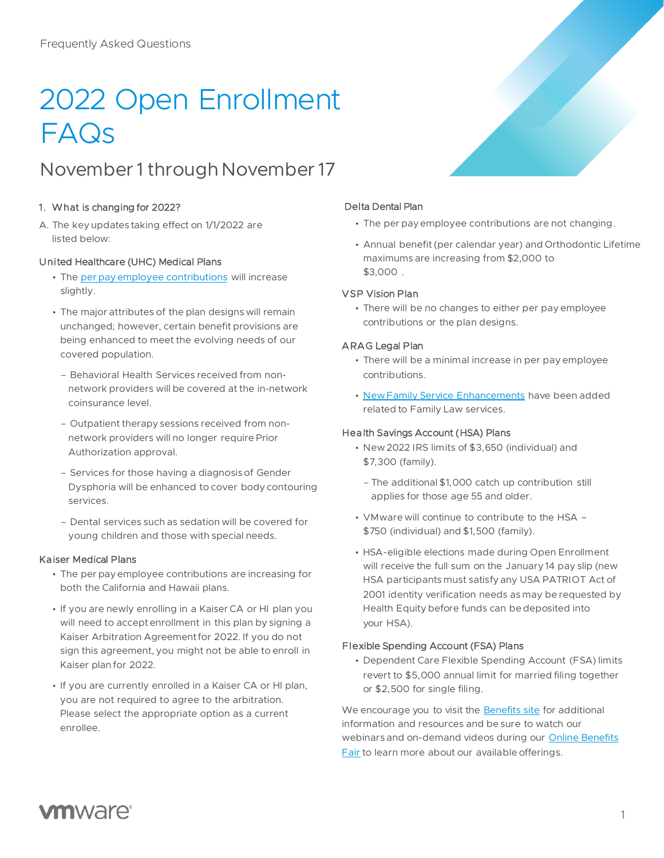# 2022 Open Enrollment FAQs

# November 1 through November 17

# 1. What is changing for 2022?

A. The key updates taking effect on 1/1/2022 are listed below:

# United Healthcare (UHC) Medical Plans

- The [per pay employee contributions](https://benefits.vmware.com/wp-content/uploads/2021/10/2022-Employee-Contributions-Chart.pdf) will increase slightly.
- The major attributes of the plan designs will remain unchanged; however, certain benefit provisions are being enhanced to meet the evolving needs of our covered population.
	- Behavioral Health Services received from nonnetwork providers will be covered at the in-network coinsurance level.
	- Outpatient therapy sessions received from nonnetwork providers will no longer require Prior Authorization approval.
	- Services for those having a diagnosis of Gender Dysphoria will be enhanced to cover body contouring services.
	- Dental services such as sedation will be covered for young children and those with special needs.

### Kaiser Medical Plans

- The per pay employee contributions are increasing for both the California and Hawaii plans.
- If you are newly enrolling in a Kaiser CA or HI plan you will need to accept enrollment in this plan by signing a Kaiser Arbitration Agreement for 2022. If you do not sign this agreement, you might not be able to enroll in Kaiser plan for 2022.
- If you are currently enrolled in a Kaiser CA or HI plan, you are not required to agree to the arbitration. Please select the appropriate option as a current enrollee.

# Delta Dental Plan

- The per pay employee contributions are not changing.
- Annual benefit (per calendar year) and Orthodontic Lifetime maximums are increasing from \$2,000 to \$3,000 .

### VSP Vision Plan

• There will be no changes to either per pay employee contributions or the plan designs.

# ARAG Legal Plan

- There will be a minimal increase in per pay employee contributions.
- [New Family Service Enhancements](https://benefits.vmware.com/wp-content/uploads/2021/10/2022-ARAG-Legal-Plan.pdf) have been added related to Family Law services.

### Health Savings Account (HSA) Plans

- New 2022 IRS limits of \$3,650 (individual) and \$7,300 (family).
	- The additional \$1,000 catch up contribution still applies for those age 55 and older.
- VMware will continue to contribute to the HSA \$750 (individual) and \$1,500 (family).
- HSA-eligible elections made during Open Enrollment will receive the full sum on the January 14 pay slip (new HSA participants must satisfy any USA PATRIOT Act of 2001 identity verification needs as may be requested by Health Equity before funds can be deposited into your HSA).

### Flexible Spending Account (FSA) Plans

[•](https://insidertv.vmware.com/channel/channelid/232647673) Dependent Care Flexible Spending Ac[count \(FSA\) limits](https://insidertv.vmware.com/channel/channelid/232647673) revert to \$5,000 annual limit for married filing together or \$2,500 for single filing.

We encourage you to visit the **Benefits site** for additional information and resources and be sure to watch our webinars and on-demand videos during our Online Benefits Fair to learn more about our available offerings.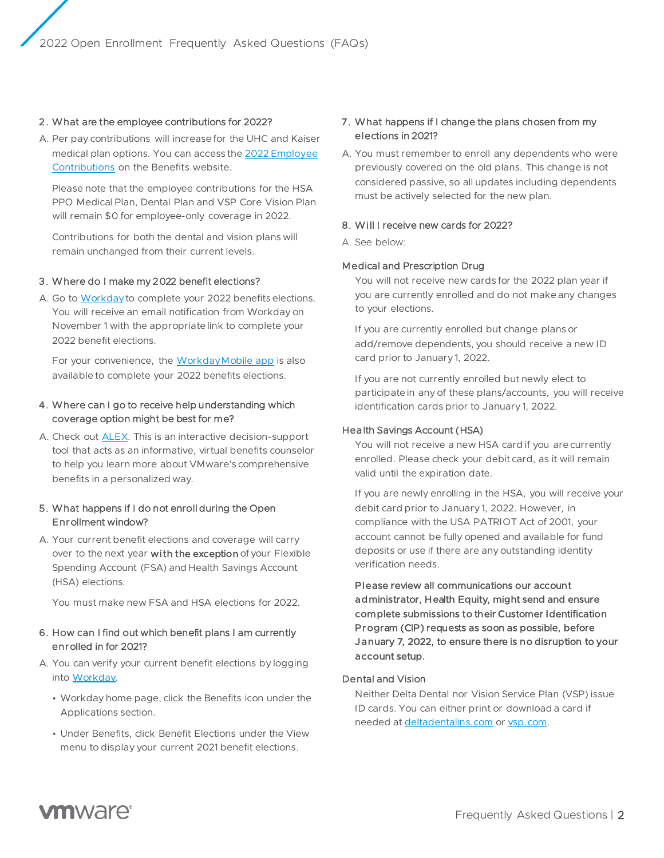#### 2. What are the employee contributions for 2022?

A. Per pay contributions will increase for the UHC and Kaiser [medical plan options. You can access the 2022 Employee](https://benefits.vmware.com/wp-content/uploads/2021/10/2022-Employee-Contributions-Chart.pdf)  Contributions on the Benefits website.

Please note that the employee contributions for the HSA PPO Medical Plan, Dental Plan and VSP Core Vision Plan will remain \$0 for employee-only coverage in 2022.

Contributions for both the dental and vision plans will remain unchanged from their current levels.

#### 3. Where do I make my 2022 benefit elections?

A. Go to [Workdayt](https://www.myworkday.com/vmware/d/home.htmld)o complete your 2022 benefits elections. You will receive an email notification from Workday on November 1 with the appropriate link to complete your 2022 benefit elections.

For your convenience, the [Workday Mobile app](https://source.vmware.com/portal/pages/HR/workday-mobile-access) is also available to complete your 2022 benefits elections.

#### 4. Where can I go to receive help understanding which coverage option might be best for me?

A. Check out [ALEX.](https://www.myalex.com/vmware/home) This is an interactive decision-support tool that acts as an informative, virtual benefits counselor to help you learn more about VMware's comprehensive benefits in a personalized way.

#### 5. What happens if I do not enroll during the Open Enrollment window?

A. Your current benefit elections and coverage will carry over to the next year with the exception of your Flexible Spending Account (FSA) and Health Savings Account (HSA) elections.

You must make new FSA and HSA elections for 2022.

### 6. How can I find out which benefit plans I am currently enrolled in for 2021?

- A. You can verify your current benefit elections by logging into [Workday.](https://www.myworkday.com/vmware/d/home.htmld)
	- Workday home page, click the Benefits icon under the Applications section.
	- Under Benefits, click Benefit Elections under the View menu to display your current 2021 benefit elections.

#### 7. What happens if I change the plans chosen from my elections in 2021?

A. You must remember to enroll any dependents who were previously covered on the old plans. This change is not considered passive, so all updates including dependents must be actively selected for the new plan.

#### 8. Will I receive new cards for 2022?

#### A. See below:

#### Medical and Prescription Drug

You will not receive new cards for the 2022 plan year if you are currently enrolled and do not make any changes to your elections.

If you are currently enrolled but change plans or add/remove dependents, you should receive a new ID card prior to January 1, 2022.

If you are not currently enrolled but newly elect to participate in any of these plans/accounts, you will receive identification cards prior to January 1, 2022.

#### Health Savings Account (HSA)

You will not receive a new HSA card if you are currently enrolled. Please check your debit card, as it will remain valid until the expiration date.

If you are newly enrolling in the HSA, you will receive your debit card prior to January 1, 2022. However, in compliance with the USA PATRIOT Act of 2001, your account cannot be fully opened and available for fund deposits or use if there are any outstanding identity verification needs.

Please review all communications our account administrator, Health Equity, might send and ensure complete submissions to their Customer Identification Program (CIP) requests as soon as possible, before January 7, 2022, to ensure there is no disruption to your account setup.

## Dental and Vision

Neither Delta Dental nor Vision Service Plan (VSP) issue ID cards. You can either print or download a card if needed a[t deltadentalins.com](http://deltadentalins.com/) o[r vsp.com.](http://www.vsp.com/)

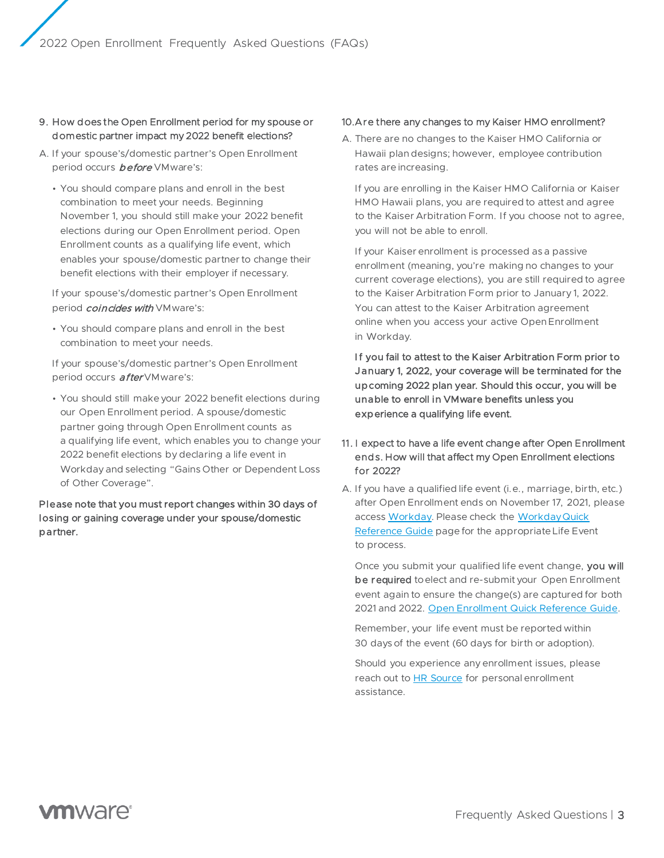- 9. How does the Open Enrollment period for my spouse or domestic partner impact my 2022 benefit elections?
- A. If your spouse's/domestic partner's Open Enrollment period occurs **before** VMware's:
	- You should compare plans and enroll in the best combination to meet your needs. Beginning November 1, you should still make your 2022 benefit elections during our Open Enrollment period. Open Enrollment counts as a qualifying life event, which enables your spouse/domestic partner to change their benefit elections with their employer if necessary.

If your spouse's/domestic partner's Open Enrollment period *coincides with* VMware's:

• You should compare plans and enroll in the best combination to meet your needs.

If your spouse's/domestic partner's Open Enrollment period occurs **after** VMware's:

• You should still make your 2022 benefit elections during our Open Enrollment period. A spouse/domestic partner going through Open Enrollment counts as a qualifying life event, which enables you to change your 2022 benefit elections by declaring a life event in Workday and selecting "Gains Other or Dependent Loss of Other Coverage".

Please note that you must report changes within 30 days of losing or gaining coverage under your spouse/domestic partner.

## 10.Are there any changes to my Kaiser HMO enrollment?

A. There are no changes to the Kaiser HMO California or Hawaii plan designs; however, employee contribution rates are increasing.

If you are enrolling in the Kaiser HMO California or Kaiser HMO Hawaii plans, you are required to attest and agree to the Kaiser Arbitration Form. If you choose not to agree, you will not be able to enroll.

If your Kaiser enrollment is processed as a passive enrollment (meaning, you're making no changes to your current coverage elections), you are still required to agree to the Kaiser Arbitration Form prior to January 1, 2022. You can attest to the Kaiser Arbitration agreement online when you access your active Open Enrollment in Workday.

If you fail to attest to the Kaiser Arbitration Form prior to January 1, 2022, your coverage will be terminated for the upcoming 2022 plan year. Should this occur, you will be unable to enroll in VMware benefits unless you experience a qualifying life event.

# 11. I expect to have a life event change after Open Enrollment ends. How will that affect my Open Enrollment elections for 2022?

A. If you have a qualified life event (i.e., marriage, birth, etc.) after Open Enrollment ends on November 17, 2021, please access [Workday.](https://www.myworkday.com/vmware/d/home.htmld) Please check the [Workday Quick](https://source.vmware.com/portal/pages/HR/enroll-in-benefits-quick-reference-guide) [Reference Guide](https://source.vmware.com/portal/pages/HR/enroll-in-benefits-quick-reference-guide) page for the appropriate Life Event to process.

Once you submit your qualified life event change, you will be required to elect and re-submit your Open Enrollment event again to ensure the change(s) are captured for both 2021 and 2022. [Open Enrollment Quick Reference Guide.](https://source.vmware.com/portal/pages/HR/enroll-in-benefits-quick-reference-guide?tabId=bc720b9b-a238-4d4d-b860-b0735f78d244)

Remember, your life event must be reported within 30 days of the event (60 days for birth or adoption).

Should you experience any enrollment issues, please reach out to HR Source for personal enrollment assistance.

# **vm**ware<sup>®</sup>